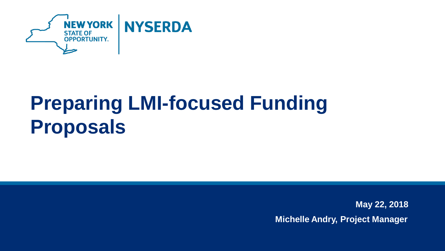

# **Preparing LMI-focused Funding Proposals**

**May 22, 2018 Michelle Andry, Project Manager**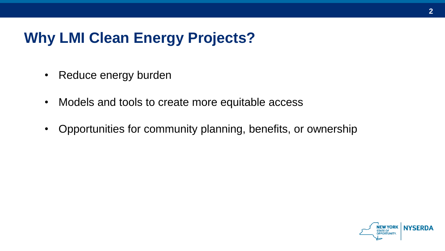#### **Why LMI Clean Energy Projects?**

- Reduce energy burden
- Models and tools to create more equitable access
- Opportunities for community planning, benefits, or ownership

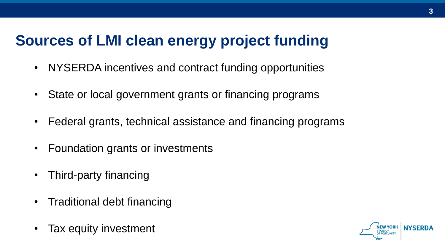### **Sources of LMI clean energy project funding**

- NYSERDA incentives and contract funding opportunities
- State or local government grants or financing programs
- Federal grants, technical assistance and financing programs
- Foundation grants or investments
- Third-party financing
- Traditional debt financing
- Tax equity investment

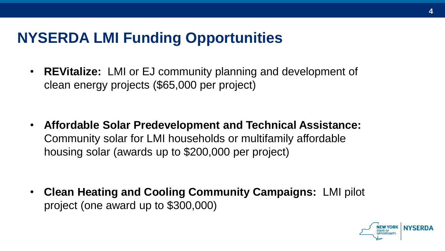#### **NYSERDA LMI Funding Opportunities**

• **REVitalize:** LMI or EJ community planning and development of clean energy projects (\$65,000 per project)

• **Affordable Solar Predevelopment and Technical Assistance:** Community solar for LMI households or multifamily affordable housing solar (awards up to \$200,000 per project)

• **Clean Heating and Cooling Community Campaigns:** LMI pilot project (one award up to \$300,000)

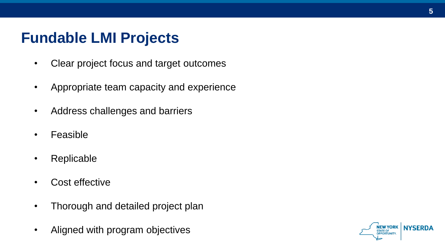#### **Fundable LMI Projects**

- Clear project focus and target outcomes
- Appropriate team capacity and experience
- Address challenges and barriers
- Feasible
- Replicable
- Cost effective
- Thorough and detailed project plan
- Aligned with program objectives

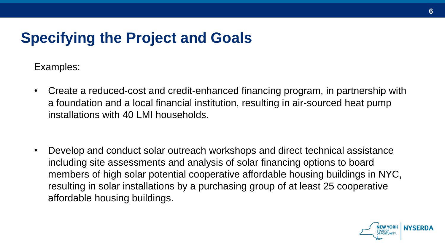#### **Specifying the Project and Goals**

Examples:

- Create a reduced-cost and credit-enhanced financing program, in partnership with a foundation and a local financial institution, resulting in air-sourced heat pump installations with 40 LMI households.
- Develop and conduct solar outreach workshops and direct technical assistance including site assessments and analysis of solar financing options to board members of high solar potential cooperative affordable housing buildings in NYC, resulting in solar installations by a purchasing group of at least 25 cooperative affordable housing buildings.

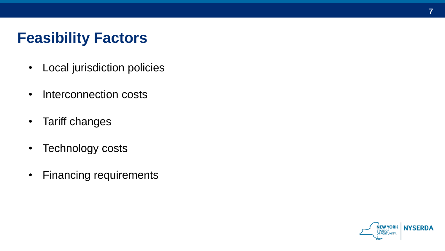### **Feasibility Factors**

- Local jurisdiction policies
- Interconnection costs
- Tariff changes
- Technology costs
- Financing requirements

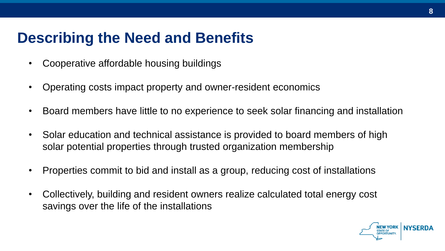#### **Describing the Need and Benefits**

- Cooperative affordable housing buildings
- Operating costs impact property and owner-resident economics
- Board members have little to no experience to seek solar financing and installation
- Solar education and technical assistance is provided to board members of high solar potential properties through trusted organization membership
- Properties commit to bid and install as a group, reducing cost of installations
- Collectively, building and resident owners realize calculated total energy cost savings over the life of the installations

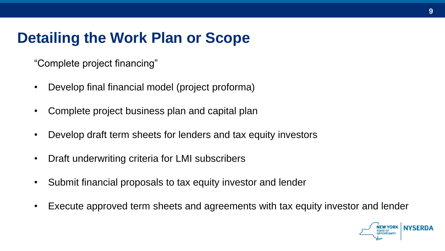### **Detailing the Work Plan or Scope**

"Complete project financing"

- Develop final financial model (project proforma)
- Complete project business plan and capital plan
- Develop draft term sheets for lenders and tax equity investors
- Draft underwriting criteria for LMI subscribers
- Submit financial proposals to tax equity investor and lender
- Execute approved term sheets and agreements with tax equity investor and lender

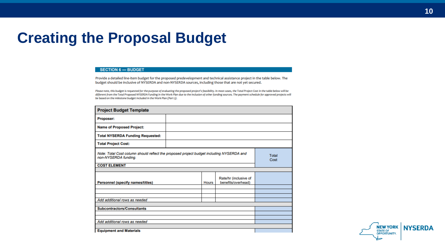#### **Creating the Proposal Budget**

#### **SECTION 6 - BUDGET**

Provide a detailed line-item budget for the proposed predevelopment and technical assistance project in the table below. The budget should be inclusive of NYSERDA and non-NYSERDA sources, including those that are not yet secured.

Please note, this budget is requested for the purpose of evaluating the proposed project's feasibility. In most cases, the Total Project Cost in the table below will be different from the Total Proposed NYSERDA Funding in the Work Plan due to the inclusion of other funding sources. The payment schedule for approved projects will be based on the milestone budget included in the Work Plan (Part 5).

| <b>Project Budget Template</b>                                                                                                          |  |              |                                             |                      |
|-----------------------------------------------------------------------------------------------------------------------------------------|--|--------------|---------------------------------------------|----------------------|
| Proposer:                                                                                                                               |  |              |                                             |                      |
| <b>Name of Proposed Project:</b>                                                                                                        |  |              |                                             |                      |
| <b>Total NYSERDA Funding Requested:</b>                                                                                                 |  |              |                                             |                      |
| <b>Total Project Cost:</b>                                                                                                              |  |              |                                             |                      |
| Note: Total Cost column should reflect the proposed project budget including NYSERDA and<br>non-NYSERDA funding.<br><b>COST ELEMENT</b> |  |              |                                             | <b>Total</b><br>Cost |
|                                                                                                                                         |  |              |                                             |                      |
| <b>Personnel (specify names/titles)</b>                                                                                                 |  | <b>Hours</b> | Rate/hr (inclusive of<br>benefits/overhead) |                      |
|                                                                                                                                         |  |              |                                             |                      |
|                                                                                                                                         |  |              |                                             |                      |
| Add additional rows as needed                                                                                                           |  |              |                                             |                      |
| <b>Subcontractors/Consultants</b>                                                                                                       |  |              |                                             |                      |
|                                                                                                                                         |  |              |                                             |                      |
|                                                                                                                                         |  |              |                                             |                      |
| Add additional rows as needed                                                                                                           |  |              |                                             |                      |
|                                                                                                                                         |  |              |                                             |                      |
| <b>Equipment and Materials</b>                                                                                                          |  |              |                                             |                      |

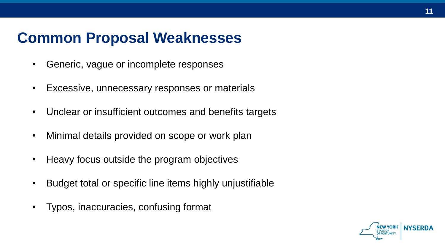#### **Common Proposal Weaknesses**

- Generic, vague or incomplete responses
- Excessive, unnecessary responses or materials
- Unclear or insufficient outcomes and benefits targets
- Minimal details provided on scope or work plan
- Heavy focus outside the program objectives
- Budget total or specific line items highly unjustifiable
- Typos, inaccuracies, confusing format



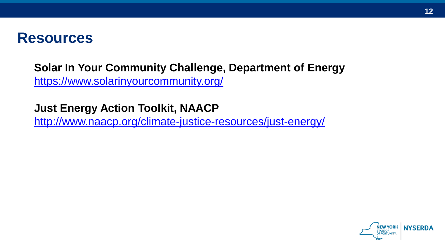#### **Resources**

**Solar In Your Community Challenge, Department of Energy**  <https://www.solarinyourcommunity.org/>

**Just Energy Action Toolkit, NAACP** <http://www.naacp.org/climate-justice-resources/just-energy/>